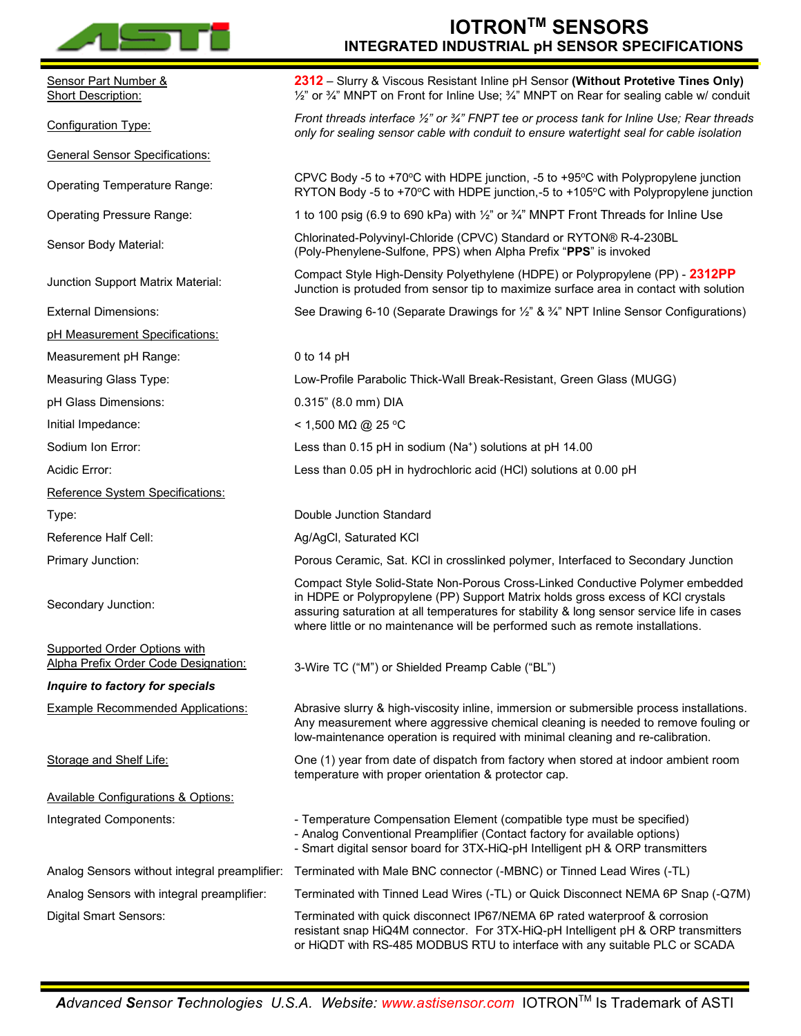

|                                                                      | <b>INTEGRATED INDUSTRIAL pH SENSOR SPECIFICATIONS</b>                                                                                                                                                                                                                                                                                           |
|----------------------------------------------------------------------|-------------------------------------------------------------------------------------------------------------------------------------------------------------------------------------------------------------------------------------------------------------------------------------------------------------------------------------------------|
| Sensor Part Number &<br><b>Short Description:</b>                    | 2312 - Slurry & Viscous Resistant Inline pH Sensor (Without Protetive Tines Only)<br>1/2" or 3/4" MNPT on Front for Inline Use; 3/4" MNPT on Rear for sealing cable w/ conduit                                                                                                                                                                  |
| <b>Configuration Type:</b>                                           | Front threads interface 1/2" or 3/4" FNPT tee or process tank for Inline Use; Rear threads<br>only for sealing sensor cable with conduit to ensure watertight seal for cable isolation                                                                                                                                                          |
| <b>General Sensor Specifications:</b>                                |                                                                                                                                                                                                                                                                                                                                                 |
| <b>Operating Temperature Range:</b>                                  | CPVC Body -5 to +70 $\degree$ C with HDPE junction, -5 to +95 $\degree$ C with Polypropylene junction<br>RYTON Body -5 to +70°C with HDPE junction,-5 to +105°C with Polypropylene junction                                                                                                                                                     |
| <b>Operating Pressure Range:</b>                                     | 1 to 100 psig (6.9 to 690 kPa) with $\frac{1}{2}$ " or $\frac{3}{4}$ " MNPT Front Threads for Inline Use                                                                                                                                                                                                                                        |
| Sensor Body Material:                                                | Chlorinated-Polyvinyl-Chloride (CPVC) Standard or RYTON® R-4-230BL<br>(Poly-Phenylene-Sulfone, PPS) when Alpha Prefix "PPS" is invoked                                                                                                                                                                                                          |
| Junction Support Matrix Material:                                    | Compact Style High-Density Polyethylene (HDPE) or Polypropylene (PP) - 2312PP<br>Junction is protuded from sensor tip to maximize surface area in contact with solution                                                                                                                                                                         |
| <b>External Dimensions:</b>                                          | See Drawing 6-10 (Separate Drawings for 1/2" & 3/4" NPT Inline Sensor Configurations)                                                                                                                                                                                                                                                           |
| pH Measurement Specifications:                                       |                                                                                                                                                                                                                                                                                                                                                 |
| Measurement pH Range:                                                | 0 to 14 $pH$                                                                                                                                                                                                                                                                                                                                    |
| <b>Measuring Glass Type:</b>                                         | Low-Profile Parabolic Thick-Wall Break-Resistant, Green Glass (MUGG)                                                                                                                                                                                                                                                                            |
| pH Glass Dimensions:                                                 | 0.315" (8.0 mm) DIA                                                                                                                                                                                                                                                                                                                             |
| Initial Impedance:                                                   | < 1,500 MΩ @ 25 °C                                                                                                                                                                                                                                                                                                                              |
| Sodium Ion Error:                                                    | Less than 0.15 pH in sodium (Na <sup>+</sup> ) solutions at pH 14.00                                                                                                                                                                                                                                                                            |
| Acidic Error:                                                        | Less than 0.05 pH in hydrochloric acid (HCl) solutions at 0.00 pH                                                                                                                                                                                                                                                                               |
| Reference System Specifications:                                     |                                                                                                                                                                                                                                                                                                                                                 |
| Type:                                                                | Double Junction Standard                                                                                                                                                                                                                                                                                                                        |
| Reference Half Cell:                                                 | Ag/AgCl, Saturated KCl                                                                                                                                                                                                                                                                                                                          |
| Primary Junction:                                                    | Porous Ceramic, Sat. KCI in crosslinked polymer, Interfaced to Secondary Junction                                                                                                                                                                                                                                                               |
| Secondary Junction:                                                  | Compact Style Solid-State Non-Porous Cross-Linked Conductive Polymer embedded<br>in HDPE or Polypropylene (PP) Support Matrix holds gross excess of KCI crystals<br>assuring saturation at all temperatures for stability & long sensor service life in cases<br>where little or no maintenance will be performed such as remote installations. |
| Supported Order Options with<br>Alpha Prefix Order Code Designation: | 3-Wire TC ("M") or Shielded Preamp Cable ("BL")                                                                                                                                                                                                                                                                                                 |
| Inquire to factory for specials                                      |                                                                                                                                                                                                                                                                                                                                                 |
| <b>Example Recommended Applications:</b>                             | Abrasive slurry & high-viscosity inline, immersion or submersible process installations.<br>Any measurement where aggressive chemical cleaning is needed to remove fouling or<br>low-maintenance operation is required with minimal cleaning and re-calibration.                                                                                |
| Storage and Shelf Life:                                              | One (1) year from date of dispatch from factory when stored at indoor ambient room<br>temperature with proper orientation & protector cap.                                                                                                                                                                                                      |
| <b>Available Configurations &amp; Options:</b>                       |                                                                                                                                                                                                                                                                                                                                                 |
| Integrated Components:                                               | - Temperature Compensation Element (compatible type must be specified)<br>- Analog Conventional Preamplifier (Contact factory for available options)<br>- Smart digital sensor board for 3TX-HiQ-pH Intelligent pH & ORP transmitters                                                                                                           |
| Analog Sensors without integral preamplifier:                        | Terminated with Male BNC connector (-MBNC) or Tinned Lead Wires (-TL)                                                                                                                                                                                                                                                                           |
| Analog Sensors with integral preamplifier:                           | Terminated with Tinned Lead Wires (-TL) or Quick Disconnect NEMA 6P Snap (-Q7M)                                                                                                                                                                                                                                                                 |
| <b>Digital Smart Sensors:</b>                                        | Terminated with quick disconnect IP67/NEMA 6P rated waterproof & corrosion<br>resistant snap HiQ4M connector. For 3TX-HiQ-pH Intelligent pH & ORP transmitters<br>or HiQDT with RS-485 MODBUS RTU to interface with any suitable PLC or SCADA                                                                                                   |

**IOTRONTM SENSORS**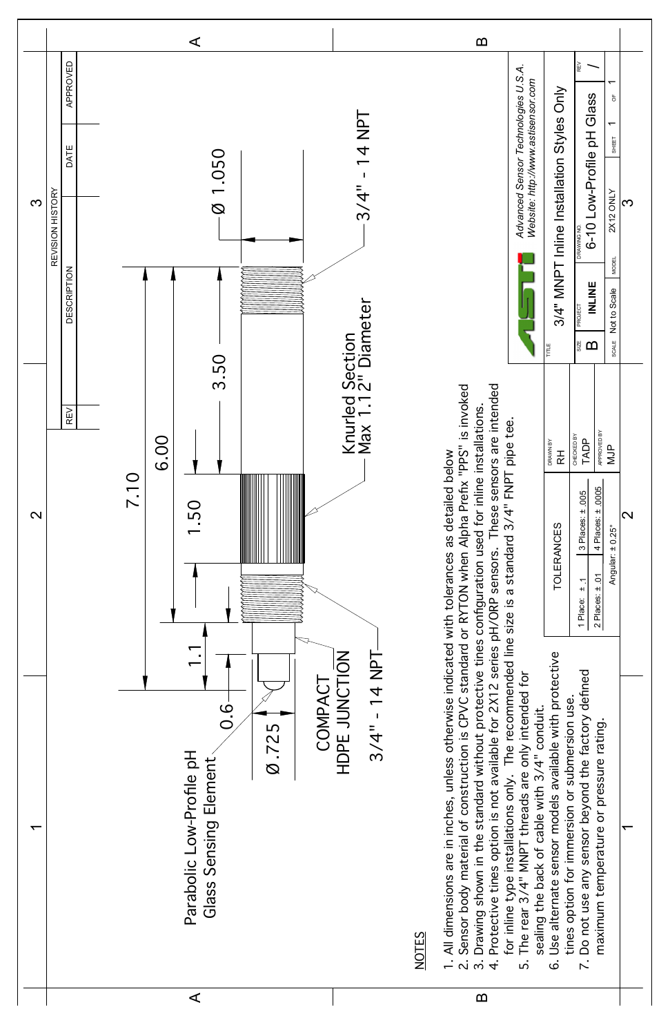

| ⋖<br>$\Omega$ |
|---------------|
|---------------|